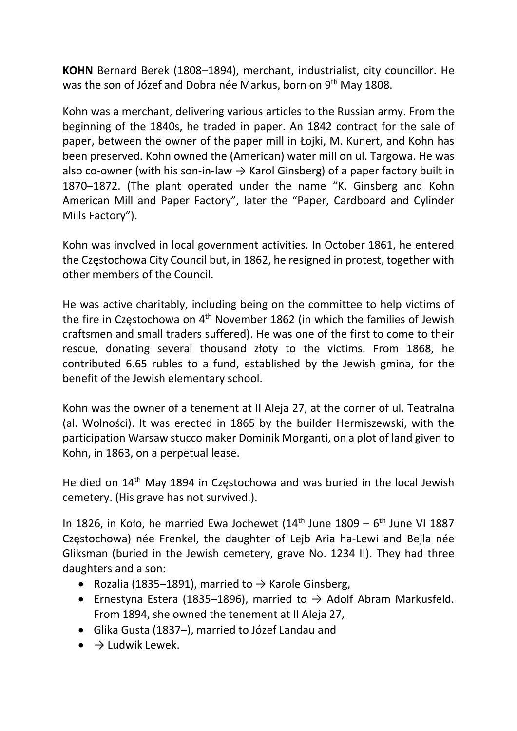KOHN Bernard Berek (1808–1894), merchant, industrialist, city councillor. He was the son of Józef and Dobra née Markus, born on 9<sup>th</sup> May 1808.

Kohn was a merchant, delivering various articles to the Russian army. From the beginning of the 1840s, he traded in paper. An 1842 contract for the sale of paper, between the owner of the paper mill in Łojki, M. Kunert, and Kohn has been preserved. Kohn owned the (American) water mill on ul. Targowa. He was also co-owner (with his son-in-law  $\rightarrow$  Karol Ginsberg) of a paper factory built in 1870–1872. (The plant operated under the name "K. Ginsberg and Kohn American Mill and Paper Factory", later the "Paper, Cardboard and Cylinder Mills Factory").

Kohn was involved in local government activities. In October 1861, he entered the Częstochowa City Council but, in 1862, he resigned in protest, together with other members of the Council.

He was active charitably, including being on the committee to help victims of the fire in Częstochowa on 4<sup>th</sup> November 1862 (in which the families of Jewish craftsmen and small traders suffered). He was one of the first to come to their rescue, donating several thousand złoty to the victims. From 1868, he contributed 6.65 rubles to a fund, established by the Jewish gmina, for the benefit of the Jewish elementary school.

Kohn was the owner of a tenement at II Aleja 27, at the corner of ul. Teatralna (al. Wolności). It was erected in 1865 by the builder Hermiszewski, with the participation Warsaw stucco maker Dominik Morganti, on a plot of land given to Kohn, in 1863, on a perpetual lease.

He died on 14th May 1894 in Częstochowa and was buried in the local Jewish cemetery. (His grave has not survived.).

In 1826, in Koło, he married Ewa Jochewet ( $14<sup>th</sup>$  June 1809 –  $6<sup>th</sup>$  June VI 1887 Częstochowa) née Frenkel, the daughter of Lejb Aria ha-Lewi and Bejla née Gliksman (buried in the Jewish cemetery, grave No. 1234 II). They had three daughters and a son:

- Rozalia (1835–1891), married to  $\rightarrow$  Karole Ginsberg,
- Ernestyna Estera (1835–1896), married to  $\rightarrow$  Adolf Abram Markusfeld. From 1894, she owned the tenement at II Aleja 27,
- Glika Gusta (1837–), married to Józef Landau and
- $\bullet \quad \rightarrow$  Ludwik Lewek.